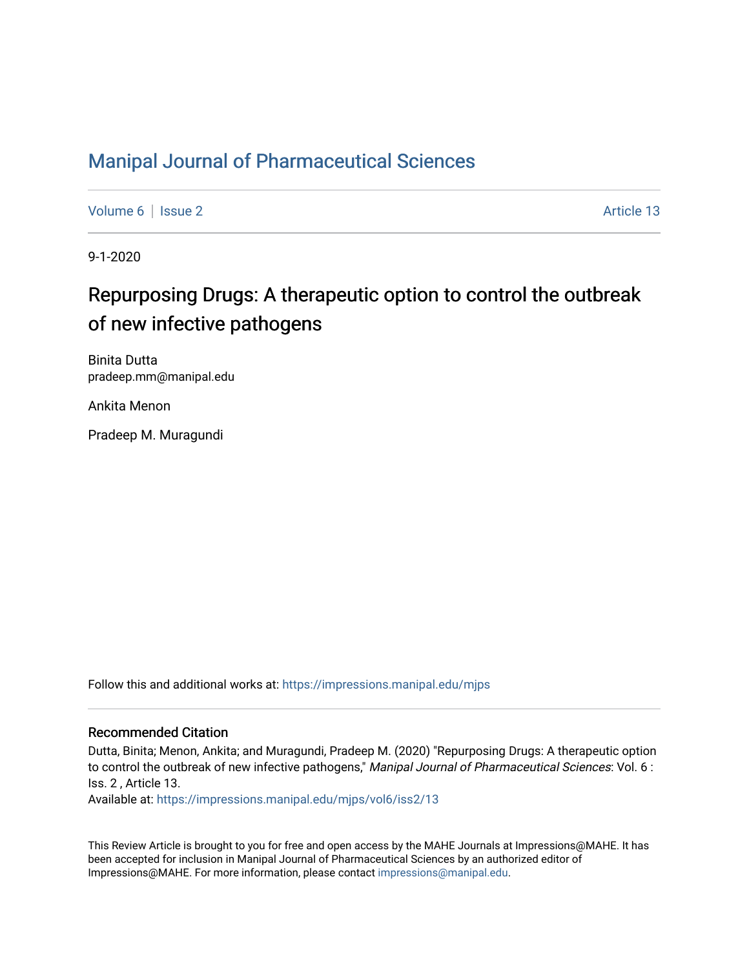### [Manipal Journal of Pharmaceutical Sciences](https://impressions.manipal.edu/mjps)

[Volume 6](https://impressions.manipal.edu/mjps/vol6) | [Issue 2](https://impressions.manipal.edu/mjps/vol6/iss2) Article 13

9-1-2020

# Repurposing Drugs: A therapeutic option to control the outbreak of new infective pathogens

Binita Dutta pradeep.mm@manipal.edu

Ankita Menon

Pradeep M. Muragundi

Follow this and additional works at: [https://impressions.manipal.edu/mjps](https://impressions.manipal.edu/mjps?utm_source=impressions.manipal.edu%2Fmjps%2Fvol6%2Fiss2%2F13&utm_medium=PDF&utm_campaign=PDFCoverPages)

#### Recommended Citation

Dutta, Binita; Menon, Ankita; and Muragundi, Pradeep M. (2020) "Repurposing Drugs: A therapeutic option to control the outbreak of new infective pathogens," Manipal Journal of Pharmaceutical Sciences: Vol. 6 : Iss. 2 , Article 13.

Available at: [https://impressions.manipal.edu/mjps/vol6/iss2/13](https://impressions.manipal.edu/mjps/vol6/iss2/13?utm_source=impressions.manipal.edu%2Fmjps%2Fvol6%2Fiss2%2F13&utm_medium=PDF&utm_campaign=PDFCoverPages) 

This Review Article is brought to you for free and open access by the MAHE Journals at Impressions@MAHE. It has been accepted for inclusion in Manipal Journal of Pharmaceutical Sciences by an authorized editor of Impressions@MAHE. For more information, please contact [impressions@manipal.edu](mailto:impressions@manipal.edu).